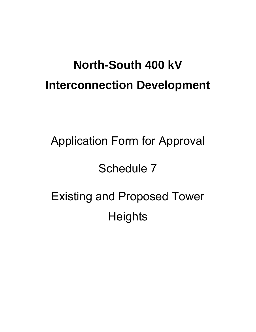# **North-South 400 kV Interconnection Development**

# Application Form for Approval Schedule 7 Existing and Proposed Tower **Heights**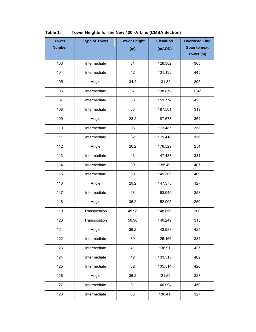| <b>Tower</b>  | <b>Type of Tower</b> | <b>Tower Height</b> | <b>Elevation</b> | <b>Overhead Line</b> |
|---------------|----------------------|---------------------|------------------|----------------------|
| <b>Number</b> |                      | (m)                 | (mAOD)           | Span to next         |
|               |                      |                     |                  | Tower (m)            |
| 103           | Intermediate         | 31                  | 128.382          | 363                  |
| 104           | Intermediate         | 42                  | 131.138          | 445                  |
| 105           | Angle                | 34.2                | 131.32           | 395                  |
| 106           | Intermediate         | 37                  | 138.878          | 184*                 |
| 107           | Intermediate         | 38                  | 151.774          | 425                  |
| 108           | Intermediate         | 36                  | 187.501          | 319                  |
| 109           | Angle                | 28.2                | 187.673          | 364                  |
| 110           | Intermediate         | 36                  | 173.487          | 358                  |
| 111           | Intermediate         | 32                  | 179.418          | 156                  |
| 112           | Angle                | 26.2                | 176.529          | 254                  |
| 113           | Intermediate         | 43                  | 147.487          | 331                  |
| 114           | Intermediate         | 39                  | 155.49           | 407                  |
| 115           | Intermediate         | 39                  | 149.309          | 409                  |
| 116           | Angle                | 29.2                | 147.375          | 127                  |
| 117           | Intermediate         | 28                  | 153.949          | 358                  |
| 118           | Angle                | 36.2                | 152.905          | 250                  |
| 119           | Transposition        | 45.98               | 148.858          | 200                  |
| 120           | Transposition        | 50.98               | 140.249          | 315                  |
| 121           | Angle                | 36.2                | 143.983          | 425                  |
| 122           | Intermediate         | 39                  | 125.166          | 384                  |
| 123           | Intermediate         | 41                  | 136.91           | 427                  |
| 124           | Intermediate         | 42                  | 133.515          | 402                  |
| 125           | Intermediate         | 32                  | 135.514          | 426                  |
| 126           | Angle                | 36.2                | 121.59           | 328                  |
| 127           | Intermediate         | 31                  | 140.994          | 450                  |
| 128           | Intermediate         | 38                  | 130.41           | 327                  |

#### **Table 1: Tower Heights for the New 400 kV Line (CMSA Section)**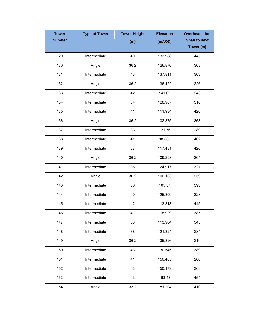| <b>Tower</b>  | <b>Type of Tower</b> | <b>Tower Height</b> | <b>Elevation</b> | <b>Overhead Line</b> |
|---------------|----------------------|---------------------|------------------|----------------------|
| <b>Number</b> |                      | (m)                 | (mAOD)           | Span to next         |
|               |                      |                     |                  | Tower (m)            |
| 129           | Intermediate         | 40                  | 133.988          | 445                  |
| 130           | Angle                | 36.2                | 126.876          | 308                  |
| 131           | Intermediate         | 43                  | 137.811          | 363                  |
| 132           | Angle                | 36.2                | 136.422          | 226                  |
| 133           | Intermediate         | 42                  | 141.02           | 243                  |
| 134           | Intermediate         | 34                  | 128.907          | 310                  |
| 135           | Intermediate         | 41                  | 111.934          | 420                  |
| 136           | Angle                | 35.2                | 102.375          | 368                  |
| 137           | Intermediate         | 33                  | 121.76           | 289                  |
| 138           | Intermediate         | 41                  | 98.333           | 402                  |
| 139           | Intermediate         | 27                  | 117.431          | 426                  |
| 140           | Angle                | 36.2                | 109.298          | 304                  |
| 141           | Intermediate         | 36                  | 124.917          | 321                  |
| 142           | Angle                | 36.2                | 100.163          | 259                  |
| 143           | Intermediate         | 36                  | 105.57           | 393                  |
| 144           | Intermediate         | 40                  | 125.309          | 328                  |
| 145           | Intermediate         | 42                  | 113.318          | 445                  |
| 146           | Intermediate         | 41                  | 118.929          | 385                  |
| 147           | Intermediate         | 38                  | 113.964          | 345                  |
| 148           | Intermediate         | 38                  | 121.324          | 284                  |
| 149           | Angle                | 36.2                | 135.826          | 219                  |
| 150           | Intermediate         | 43                  | 130.545          | 389                  |
| 151           | Intermediate         | 41                  | 150.405          | 280                  |
| 152           | Intermediate         | 43                  | 150.179          | 363                  |
| 153           | Intermediate         | 43                  | 168.48           | 454                  |
| 154           | Angle                | 33.2                | 181.204          | 410                  |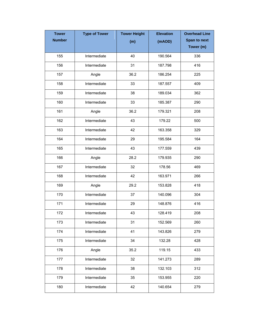| <b>Tower</b>  | <b>Type of Tower</b> | <b>Tower Height</b> | <b>Elevation</b> | <b>Overhead Line</b> |
|---------------|----------------------|---------------------|------------------|----------------------|
| <b>Number</b> |                      | (m)                 | (mAOD)           | Span to next         |
|               |                      |                     |                  | Tower (m)            |
| 155           | Intermediate         | 40                  | 190.564          | 336                  |
| 156           | Intermediate         | 31                  | 187.798          | 416                  |
| 157           | Angle                | 36.2                | 186.254          | 225                  |
| 158           | Intermediate         | 33                  | 187.557          | 409                  |
| 159           | Intermediate         | 38                  | 189.034          | 362                  |
| 160           | Intermediate         | 33                  | 185.387          | 290                  |
| 161           | Angle                | 36.2                | 179.321          | 208                  |
| 162           | Intermediate         | 43                  | 179.22           | 500                  |
| 163           | Intermediate         | 42                  | 163.358          | 329                  |
| 164           | Intermediate         | 29                  | 195.584          | 164                  |
| 165           | Intermediate         | 43                  | 177.559          | 439                  |
| 166           | Angle                | 28.2                | 179.935          | 290                  |
| 167           | Intermediate         | 32                  | 178.56           | 469                  |
| 168           | Intermediate         | 42                  | 163.971          | 266                  |
| 169           | Angle                | 29.2                | 153.828          | 418                  |
| 170           | Intermediate         | 37                  | 140.096          | 304                  |
| 171           | Intermediate         | 29                  | 148.876          | 416                  |
| 172           | Intermediate         | 43                  | 128.419          | 208                  |
| 173           | Intermediate         | 31                  | 152.569          | 260                  |
| 174           | Intermediate         | 41                  | 143.826          | 279                  |
| 175           | Intermediate         | 34                  | 132.28           | 428                  |
| 176           | Angle                | 35.2                | 119.15           | 433                  |
| 177           | Intermediate         | 32                  | 141.273          | 289                  |
| 178           | Intermediate         | 38                  | 132.103          | 312                  |
| 179           | Intermediate         | 35                  | 153.955          | 220                  |
| 180           | Intermediate         | 42                  | 140.654          | 279                  |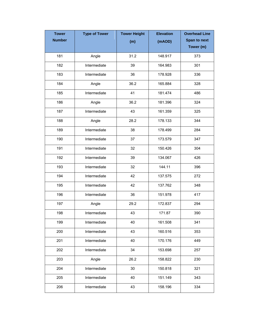| <b>Tower</b>  | <b>Type of Tower</b> | <b>Tower Height</b> | <b>Elevation</b> | <b>Overhead Line</b> |
|---------------|----------------------|---------------------|------------------|----------------------|
| <b>Number</b> |                      | (m)                 | (mAOD)           | Span to next         |
|               |                      |                     |                  | Tower (m)            |
| 181           | Angle                | 31.2                | 148.917          | 373                  |
| 182           | Intermediate         | 39                  | 164.983          | 301                  |
| 183           | Intermediate         | 36                  | 178.928          | 336                  |
| 184           | Angle                | 36.2                | 165.884          | 328                  |
| 185           | Intermediate         | 41                  | 181.474          | 486                  |
| 186           | Angle                | 36.2                | 181.396          | 324                  |
| 187           | Intermediate         | 43                  | 161.359          | 325                  |
| 188           | Angle                | 28.2                | 178.133          | 344                  |
| 189           | Intermediate         | 38                  | 178.499          | 284                  |
| 190           | Intermediate         | 37                  | 173.579          | 347                  |
| 191           | Intermediate         | 32                  | 150.426          | 304                  |
| 192           | Intermediate         | 39                  | 134.067          | 426                  |
| 193           | Intermediate         | 32                  | 144.11           | 396                  |
| 194           | Intermediate         | 42                  | 137.575          | 272                  |
| 195           | Intermediate         | 42                  | 137.762          | 348                  |
| 196           | Intermediate         | 36                  | 151.978          | 417                  |
| 197           | Angle                | 29.2                | 172.837          | 294                  |
| 198           | Intermediate         | 43                  | 171.87           | 390                  |
| 199           | Intermediate         | 40                  | 161.508          | 341                  |
| 200           | Intermediate         | 43                  | 160.516          | 353                  |
| 201           | Intermediate         | 40                  | 170.176          | 449                  |
| 202           | Intermediate         | 34                  | 153.698          | 257                  |
| 203           | Angle                | 26.2                | 158.822          | 230                  |
| 204           | Intermediate         | 30                  | 150.818          | 321                  |
| 205           | Intermediate         | 40                  | 151.149          | 343                  |
| 206           | Intermediate         | 43                  | 158.196          | 334                  |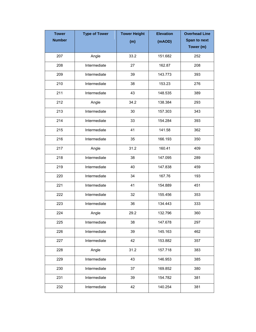| <b>Tower</b>  | <b>Type of Tower</b> | <b>Tower Height</b> | <b>Elevation</b> | <b>Overhead Line</b> |
|---------------|----------------------|---------------------|------------------|----------------------|
| <b>Number</b> |                      | (m)                 | (mAOD)           | Span to next         |
|               |                      |                     |                  | Tower (m)            |
| 207           | Angle                | 33.2                | 151.682          | 252                  |
| 208           | Intermediate         | 27                  | 162.87           | 208                  |
| 209           | Intermediate         | 39                  | 143.773          | 393                  |
| 210           | Intermediate         | 38                  | 153.23           | 276                  |
| 211           | Intermediate         | 43                  | 148.535          | 389                  |
| 212           | Angle                | 34.2                | 138.384          | 293                  |
| 213           | Intermediate         | 30                  | 157.303          | 343                  |
| 214           | Intermediate         | 33                  | 154.284          | 393                  |
| 215           | Intermediate         | 41                  | 141.58           | 362                  |
| 216           | Intermediate         | 35                  | 166.193          | 350                  |
| 217           | Angle                | 31.2                | 160.41           | 409                  |
| 218           | Intermediate         | 38                  | 147.095          | 289                  |
| 219           | Intermediate         | 40                  | 147.838          | 459                  |
| 220           | Intermediate         | 34                  | 167.76           | 193                  |
| 221           | Intermediate         | 41                  | 154.889          | 451                  |
| 222           | Intermediate         | 32                  | 155.456          | 353                  |
| 223           | Intermediate         | 36                  | 134.443          | 333                  |
| 224           | Angle                | 29.2                | 132.796          | 360                  |
| 225           | Intermediate         | 38                  | 147.678          | 297                  |
| 226           | Intermediate         | 39                  | 145.163          | 462                  |
| 227           | Intermediate         | 42                  | 153.882          | 357                  |
| 228           | Angle                | 31.2                | 157.718          | 383                  |
| 229           | Intermediate         | 43                  | 146.953          | 385                  |
| 230           | Intermediate         | 37                  | 169.852          | 380                  |
| 231           | Intermediate         | 39                  | 154.782          | 381                  |
| 232           | Intermediate         | 42                  | 140.254          | 381                  |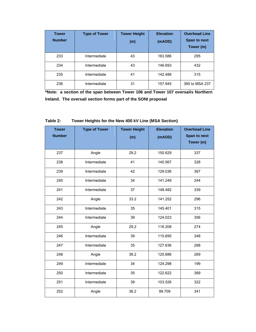| <b>Tower</b><br><b>Number</b> | <b>Type of Tower</b> | <b>Tower Height</b><br>(m) | <b>Elevation</b><br>(mAOD) | <b>Overhead Line</b><br><b>Span to next</b><br>Tower (m) |
|-------------------------------|----------------------|----------------------------|----------------------------|----------------------------------------------------------|
| 233                           | Intermediate         | 43                         | 163.586                    | 295                                                      |
| 234                           | Intermediate         | 43                         | 146.693                    | 432                                                      |
| 235                           | Intermediate         | 41                         | 142.488                    | 315                                                      |
| 236                           | Intermediate         | 31                         | 157.945                    | 385 to MSA 237                                           |

**\*Note: a section of the span between Tower 106 and Tower 107 oversails Northern Ireland. The oversail section forms part of the SONI proposal**

| <b>Tower</b><br><b>Number</b> | <b>Type of Tower</b> | <b>Tower Height</b> | <b>Elevation</b> | <b>Overhead Line</b><br>Span to next |
|-------------------------------|----------------------|---------------------|------------------|--------------------------------------|
|                               |                      | (m)                 | (mAOD)           | Tower (m)                            |
|                               |                      |                     |                  |                                      |
| 237                           | Angle                | 29.2                | 150.629          | 337                                  |
| 238                           | Intermediate         | 41                  | 140.567          | 328                                  |
| 239                           | Intermediate         | 42                  | 129.036          | 367                                  |
| 240                           | Intermediate         | 34                  | 141.249          | 244                                  |
| 241                           | Intermediate         | 37                  | 148.482          | 339                                  |
| 242                           | Angle                | 33.2                | 141.252          | 296                                  |
| 243                           | Intermediate         | 35                  | 145.401          | 315                                  |
| 244                           | Intermediate         | 39                  | 124.023          | 356                                  |
| 245                           | Angle                | 29.2                | 116.208          | 274                                  |
| 246                           | Intermediate         | 39                  | 115.695          | 348                                  |
| 247                           | Intermediate         | 35                  | 127.636          | 288                                  |
| 248                           | Angle                | 36.2                | 125.686          | 269                                  |
| 249                           | Intermediate         | 34                  | 124.298          | 199                                  |
| 250                           | Intermediate         | 35                  | 122.622          | 389                                  |
| 251                           | Intermediate         | 39                  | 103.526          | 322                                  |
| 252                           | Angle                | 36.2                | 99.709           | 341                                  |

## **Table 2: Tower Heights for the New 400 kV Line (MSA Section)**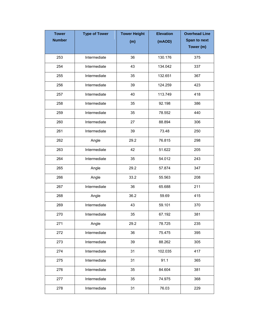| <b>Tower</b>  | <b>Type of Tower</b> | <b>Tower Height</b> | <b>Elevation</b> | <b>Overhead Line</b> |
|---------------|----------------------|---------------------|------------------|----------------------|
| <b>Number</b> |                      | (m)                 | (mAOD)           | Span to next         |
|               |                      |                     |                  | Tower (m)            |
| 253           | Intermediate         | 36                  | 130.176          | 375                  |
| 254           | Intermediate         | 43                  | 134.042          | 337                  |
| 255           | Intermediate         | 35                  | 132.651          | 367                  |
| 256           | Intermediate         | 39                  | 124.259          | 423                  |
| 257           | Intermediate         | 40                  | 113.749          | 418                  |
| 258           | Intermediate         | 35                  | 92.198           | 386                  |
| 259           | Intermediate         | 35                  | 78.552           | 440                  |
| 260           | Intermediate         | 27                  | 88.894           | 306                  |
| 261           | Intermediate         | 39                  | 73.48            | 250                  |
| 262           | Angle                | 29.2                | 76.815           | 298                  |
| 263           | Intermediate         | 42                  | 51.622           | 205                  |
| 264           | Intermediate         | 35                  | 54.012           | 243                  |
| 265           | Angle                | 29.2                | 57.874           | 347                  |
| 266           | Angle                | 33.2                | 55.563           | 208                  |
| 267           | Intermediate         | 36                  | 65.688           | 211                  |
| 268           | Angle                | 36.2                | 59.69            | 415                  |
| 269           | Intermediate         | 43                  | 59.101           | 370                  |
| 270           | Intermediate         | 35                  | 67.192           | 381                  |
| 271           | Angle                | 29.2                | 78.725           | 235                  |
| 272           | Intermediate         | 36                  | 75.475           | 395                  |
| 273           | Intermediate         | 39                  | 88.262           | 305                  |
| 274           | Intermediate         | 31                  | 102.035          | 417                  |
| 275           | Intermediate         | 31                  | 91.1             | 365                  |
| 276           | Intermediate         | 35                  | 84.604           | 381                  |
| 277           | Intermediate         | 35                  | 74.975           | 368                  |
| 278           | Intermediate         | 31                  | 76.03            | 229                  |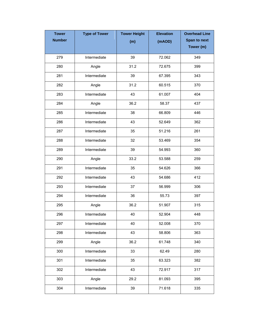| <b>Tower</b>  | <b>Type of Tower</b> | <b>Tower Height</b> | <b>Elevation</b> | <b>Overhead Line</b> |
|---------------|----------------------|---------------------|------------------|----------------------|
| <b>Number</b> |                      | (m)                 | (mAOD)           | <b>Span to next</b>  |
|               |                      |                     |                  | Tower (m)            |
| 279           | Intermediate         | 39                  | 72.062           | 349                  |
| 280           | Angle                | 31.2                | 72.675           | 399                  |
| 281           | Intermediate         | 39                  | 67.395           | 343                  |
| 282           | Angle                | 31.2                | 60.515           | 370                  |
| 283           | Intermediate         | 43                  | 61.007           | 404                  |
| 284           | Angle                | 36.2                | 58.37            | 437                  |
| 285           | Intermediate         | 38                  | 66.809           | 446                  |
| 286           | Intermediate         | 43                  | 52.649           | 362                  |
| 287           | Intermediate         | 35                  | 51.216           | 261                  |
| 288           | Intermediate         | 32                  | 53.469           | 354                  |
| 289           | Intermediate         | 39                  | 54.993           | 360                  |
| 290           | Angle                | 33.2                | 53.588           | 259                  |
| 291           | Intermediate         | 35                  | 54.626           | 366                  |
| 292           | Intermediate         | 43                  | 54.686           | 412                  |
| 293           | Intermediate         | 37                  | 56.999           | 306                  |
| 294           | Intermediate         | 36                  | 55.73            | 397                  |
| 295           | Angle                | 36.2                | 51.907           | 315                  |
| 296           | Intermediate         | 40                  | 52.904           | 448                  |
| 297           | Intermediate         | 40                  | 52.008           | 370                  |
| 298           | Intermediate         | 43                  | 58.806           | 363                  |
| 299           | Angle                | 36.2                | 61.748           | 340                  |
| 300           | Intermediate         | 33                  | 62.49            | 280                  |
| 301           | Intermediate         | 35                  | 63.323           | 382                  |
| 302           | Intermediate         | 43                  | 72.917           | 317                  |
| 303           | Angle                | 29.2                | 81.093           | 395                  |
| 304           | Intermediate         | 39                  | 71.618           | 335                  |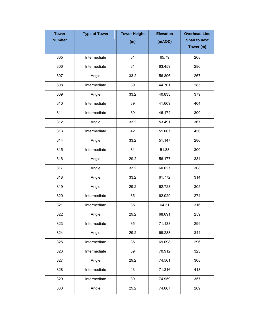| <b>Tower</b>  | <b>Type of Tower</b> | <b>Tower Height</b> | <b>Elevation</b> | <b>Overhead Line</b> |
|---------------|----------------------|---------------------|------------------|----------------------|
| <b>Number</b> |                      | (m)                 | (mAOD)           | Span to next         |
|               |                      |                     |                  | Tower (m)            |
| 305           | Intermediate         | 31                  | 65.79            | 268                  |
| 306           | Intermediate         | 31                  | 63.459           | 286                  |
| 307           | Angle                | 33.2                | 56.396           | 267                  |
| 308           | Intermediate         | 39                  | 44.701           | 285                  |
| 309           | Angle                | 33.2                | 40.833           | 379                  |
| 310           | Intermediate         | 39                  | 41.669           | 404                  |
| 311           | Intermediate         | 39                  | 46.172           | 300                  |
| 312           | Angle                | 33.2                | 53.491           | 367                  |
| 313           | Intermediate         | 42                  | 51.007           | 456                  |
| 314           | Angle                | 33.2                | 51.147           | 286                  |
| 315           | Intermediate         | 31                  | 51.88            | 300                  |
| 316           | Angle                | 29.2                | 56.177           | 334                  |
| 317           | Angle                | 33.2                | 60.027           | 308                  |
| 318           | Angle                | 33.2                | 61.772           | 314                  |
| 319           | Angle                | 29.2                | 62.723           | 305                  |
| 320           | Intermediate         | 35                  | 62.029           | 274                  |
| 321           | Intermediate         | 35                  | 64.31            | 316                  |
| 322           | Angle                | 29.2                | 68.691           | 259                  |
| 323           | Intermediate         | 35                  | 71.133           | 299                  |
| 324           | Angle                | 29.2                | 69.288           | 344                  |
| 325           | Intermediate         | 35                  | 69.098           | 296                  |
| 326           | Intermediate         | 39                  | 70.912           | 323                  |
| 327           | Angle                | 29.2                | 74.561           | 308                  |
| 328           | Intermediate         | 43                  | 71.316           | 413                  |
| 329           | Intermediate         | 39                  | 74.959           | 357                  |
| 330           | Angle                | 29.2                | 74.667           | 269                  |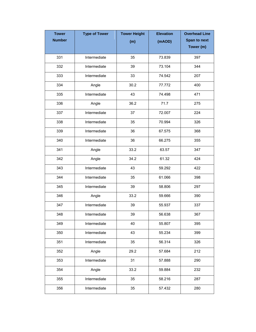| <b>Tower</b>  | <b>Type of Tower</b> | <b>Tower Height</b> | <b>Elevation</b> | <b>Overhead Line</b> |
|---------------|----------------------|---------------------|------------------|----------------------|
| <b>Number</b> |                      | (m)                 | (mAOD)           | <b>Span to next</b>  |
|               |                      |                     |                  | Tower (m)            |
| 331           | Intermediate         | 35                  | 73.839           | 397                  |
| 332           | Intermediate         | 39                  | 73.104           | 344                  |
| 333           | Intermediate         | 33                  | 74.542           | 207                  |
| 334           | Angle                | 30.2                | 77.772           | 400                  |
| 335           | Intermediate         | 43                  | 74.498           | 471                  |
| 336           | Angle                | 36.2                | 71.7             | 275                  |
| 337           | Intermediate         | 37                  | 72.007           | 224                  |
| 338           | Intermediate         | 35                  | 70.994           | 326                  |
| 339           | Intermediate         | 36                  | 67.575           | 368                  |
| 340           | Intermediate         | 36                  | 66.275           | 355                  |
| 341           | Angle                | 33.2                | 63.57            | 347                  |
| 342           | Angle                | 34.2                | 61.32            | 424                  |
| 343           | Intermediate         | 43                  | 59.292           | 422                  |
| 344           | Intermediate         | 35                  | 61.066           | 398                  |
| 345           | Intermediate         | 39                  | 58.806           | 297                  |
| 346           | Angle                | 33.2                | 59.666           | 390                  |
| 347           | Intermediate         | 39                  | 55.937           | 337                  |
| 348           | Intermediate         | 39                  | 56.638           | 367                  |
| 349           | Intermediate         | 40                  | 55.807           | 395                  |
| 350           | Intermediate         | 43                  | 55.234           | 399                  |
| 351           | Intermediate         | 35                  | 56.314           | 326                  |
| 352           | Angle                | 29.2                | 57.684           | 212                  |
| 353           | Intermediate         | 31                  | 57.888           | 290                  |
| 354           | Angle                | 33.2                | 59.884           | 232                  |
| 355           | Intermediate         | 35                  | 58.216           | 287                  |
| 356           | Intermediate         | 35                  | 57.432           | 280                  |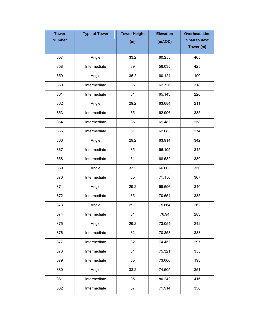| <b>Tower</b>  | <b>Type of Tower</b> | <b>Tower Height</b> | <b>Elevation</b> | <b>Overhead Line</b> |
|---------------|----------------------|---------------------|------------------|----------------------|
| <b>Number</b> |                      | (m)                 | (mAOD)           | <b>Span to next</b>  |
|               |                      |                     |                  | Tower (m)            |
| 357           | Angle                | 33.2                | 60.255           | 405                  |
| 358           | Intermediate         | 39                  | 56.035           | 425                  |
| 359           | Angle                | 36.2                | 60.124           | 190                  |
| 360           | Intermediate         | 35                  | 62.726           | 318                  |
| 361           | Intermediate         | 31                  | 65.143           | 226                  |
| 362           | Angle                | 29.2                | 63.684           | 211                  |
| 363           | Intermediate         | 35                  | 62.996           | 335                  |
| 364           | Intermediate         | 35                  | 61.482           | 258                  |
| 365           | Intermediate         | 31                  | 62.683           | 274                  |
| 366           | Angle                | 29.2                | 63.914           | 342                  |
| 367           | Intermediate         | 35                  | 66.195           | 345                  |
| 368           | Intermediate         | 31                  | 68.532           | 330                  |
| 369           | Angle                | 33.2                | 66.003           | 350                  |
| 370           | Intermediate         | 35                  | 71.156           | 367                  |
| 371           | Angle                | 29.2                | 69.696           | 340                  |
| 372           | Intermediate         | 35                  | 70.654           | 335                  |
| 373           | Angle                | 29.2                | 75.664           | 262                  |
| 374           | Intermediate         | 31                  | 76.94            | 283                  |
| 375           | Angle                | 29.2                | 73.054           | 242                  |
| 376           | Intermediate         | 32                  | 70.853           | 388                  |
| 377           | Intermediate         | 32                  | 74.452           | 297                  |
| 378           | Intermediate         | 31                  | 75.321           | 355                  |
| 379           | Intermediate         | 35                  | 73.006           | 193                  |
| 380           | Angle                | 33.2                | 74.505           | 351                  |
| 381           | Intermediate         | 35                  | 80.242           | 416                  |
| 382           | Intermediate         | 37                  | 71.914           | 330                  |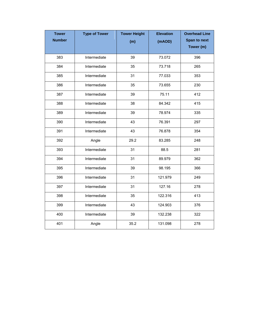| <b>Tower</b><br><b>Number</b> | <b>Type of Tower</b> | <b>Tower Height</b><br>(m) | <b>Elevation</b><br>(mAOD) | <b>Overhead Line</b><br>Span to next |
|-------------------------------|----------------------|----------------------------|----------------------------|--------------------------------------|
|                               |                      |                            |                            | Tower (m)                            |
| 383                           | Intermediate         | 39                         | 73.072                     | 396                                  |
| 384                           | Intermediate         | 35                         | 73.718                     | 265                                  |
| 385                           | Intermediate         | 31                         | 77.033                     | 353                                  |
| 386                           | Intermediate         | 35                         | 73.655                     | 230                                  |
| 387                           | Intermediate         | 39                         | 75.11                      | 412                                  |
| 388                           | Intermediate         | 38                         | 84.342                     | 415                                  |
| 389                           | Intermediate         | 39                         | 78.974                     | 335                                  |
| 390                           | Intermediate         | 43                         | 76.391                     | 297                                  |
| 391                           | Intermediate         | 43                         | 76.878                     | 354                                  |
| 392                           | Angle                | 29.2                       | 83.285                     | 248                                  |
| 393                           | Intermediate         | 31                         | 88.5                       | 281                                  |
| 394                           | Intermediate         | 31                         | 89.979                     | 362                                  |
| 395                           | Intermediate         | 39                         | 98.195                     | 366                                  |
| 396                           | Intermediate         | 31                         | 121.979                    | 249                                  |
| 397                           | Intermediate         | 31                         | 127.16                     | 278                                  |
| 398                           | Intermediate         | 35                         | 122.316                    | 413                                  |
| 399                           | Intermediate         | 43                         | 124.903                    | 376                                  |
| 400                           | Intermediate         | 39                         | 132.238                    | 322                                  |
| 401                           | Angle                | 35.2                       | 131.098                    | 278                                  |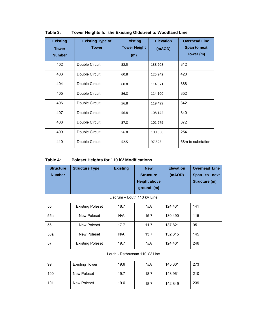| <b>Existing</b><br><b>Tower</b><br><b>Number</b> | <b>Existing Type of</b><br><b>Tower</b> | <b>Existing</b><br><b>Tower Height</b><br>(m) | <b>Elevation</b><br>(mAOD) | <b>Overhead Line</b><br><b>Span to next</b><br>Tower (m) |
|--------------------------------------------------|-----------------------------------------|-----------------------------------------------|----------------------------|----------------------------------------------------------|
| 402                                              | Double Circuit                          | 52.5                                          | 138.208                    | 312                                                      |
| 403                                              | Double Circuit                          | 60.8                                          | 125.942                    | 420                                                      |
| 404                                              | Double Circuit                          | 60.8                                          | 114.371                    | 388                                                      |
| 405                                              | Double Circuit                          | 56.8                                          | 114.100                    | 352                                                      |
| 406                                              | Double Circuit                          | 56.8                                          | 119.499                    | 342                                                      |
| 407                                              | Double Circuit                          | 56.8                                          | 108.142                    | 340                                                      |
| 408                                              | Double Circuit                          | 57.8                                          | 101.279                    | 372                                                      |
| 409                                              | Double Circuit                          | 56.8                                          | 100.638                    | 254                                                      |
| 410                                              | Double Circuit                          | 52.5                                          | 97.523                     | 68m to substation                                        |

#### **Table 3: Tower Heights for the Existing Oldstreet to Woodland Line**

## **Table 4: Poleset Heights for 110 kV Modifications**

| <b>Structure</b><br><b>Number</b> | <b>Structure Type</b>   | <b>Existing</b> | <b>New</b><br><b>Structure</b><br><b>Height above</b><br>ground (m) | <b>Elevation</b><br>(mAOD) | <b>Overhead Line</b><br>Span to next<br>Structure (m) |
|-----------------------------------|-------------------------|-----------------|---------------------------------------------------------------------|----------------------------|-------------------------------------------------------|
| Lisdrum - Louth 110 kV Line       |                         |                 |                                                                     |                            |                                                       |
| 55                                | <b>Existing Poleset</b> | 18.7            | N/A                                                                 | 124.431                    | 141                                                   |
| 55a                               | New Poleset             | N/A             | 15.7                                                                | 130.490                    | 115                                                   |
| 56                                | New Poleset             | 17.7            | 11.7                                                                | 137.821                    | 95                                                    |
| 56a                               | New Poleset             | N/A             | 13.7                                                                | 132.615                    | 145                                                   |
| 57                                | <b>Existing Poleset</b> | 19.7            | N/A                                                                 | 124.461                    | 246                                                   |
| Louth - Rathrussan 110 kV Line    |                         |                 |                                                                     |                            |                                                       |
| 99                                | <b>Existing Tower</b>   | 19.6            | N/A                                                                 | 145.361                    | 273                                                   |
| 100                               | New Poleset             | 19.7            | 18.7                                                                | 143.961                    | 210                                                   |
| 101                               | New Poleset             | 19.6            | 18.7                                                                | 142.849                    | 239                                                   |